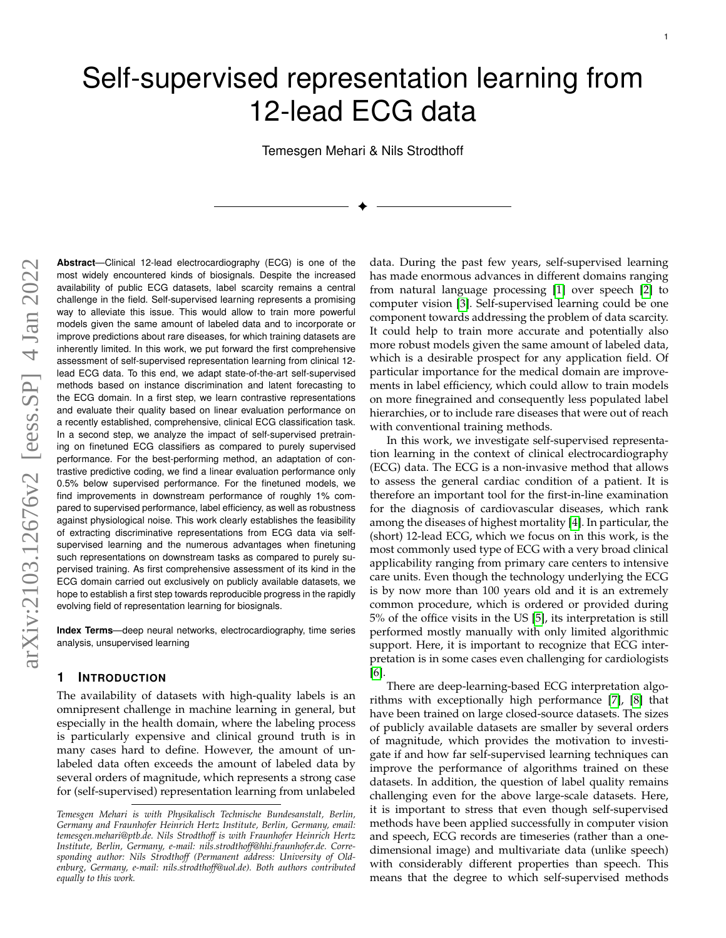# Self-supervised representation learning from 12-lead ECG data

Temesgen Mehari & Nils Strodthoff

✦

**Abstract**—Clinical 12-lead electrocardiography (ECG) is one of the most widely encountered kinds of biosignals. Despite the increased availability of public ECG datasets, label scarcity remains a central challenge in the field. Self-supervised learning represents a promising way to alleviate this issue. This would allow to train more powerful models given the same amount of labeled data and to incorporate or improve predictions about rare diseases, for which training datasets are inherently limited. In this work, we put forward the first comprehensive assessment of self-supervised representation learning from clinical 12 lead ECG data. To this end, we adapt state-of-the-art self-supervised methods based on instance discrimination and latent forecasting to the ECG domain. In a first step, we learn contrastive representations and evaluate their quality based on linear evaluation performance on a recently established, comprehensive, clinical ECG classification task. In a second step, we analyze the impact of self-supervised pretraining on finetuned ECG classifiers as compared to purely supervised performance. For the best-performing method, an adaptation of contrastive predictive coding, we find a linear evaluation performance only 0.5% below supervised performance. For the finetuned models, we find improvements in downstream performance of roughly 1% compared to supervised performance, label efficiency, as well as robustness against physiological noise. This work clearly establishes the feasibility of extracting discriminative representations from ECG data via selfsupervised learning and the numerous advantages when finetuning such representations on downstream tasks as compared to purely supervised training. As first comprehensive assessment of its kind in the ECG domain carried out exclusively on publicly available datasets, we hope to establish a first step towards reproducible progress in the rapidly evolving field of representation learning for biosignals.

**Index Terms**—deep neural networks, electrocardiography, time series analysis, unsupervised learning

#### **1 INTRODUCTION**

The availability of datasets with high-quality labels is an omnipresent challenge in machine learning in general, but especially in the health domain, where the labeling process is particularly expensive and clinical ground truth is in many cases hard to define. However, the amount of unlabeled data often exceeds the amount of labeled data by several orders of magnitude, which represents a strong case for (self-supervised) representation learning from unlabeled

data. During the past few years, self-supervised learning has made enormous advances in different domains ranging from natural language processing [\[1\]](#page-8-0) over speech [\[2\]](#page-8-1) to computer vision [\[3\]](#page-8-2). Self-supervised learning could be one component towards addressing the problem of data scarcity. It could help to train more accurate and potentially also more robust models given the same amount of labeled data, which is a desirable prospect for any application field. Of particular importance for the medical domain are improvements in label efficiency, which could allow to train models on more finegrained and consequently less populated label hierarchies, or to include rare diseases that were out of reach with conventional training methods.

In this work, we investigate self-supervised representation learning in the context of clinical electrocardiography (ECG) data. The ECG is a non-invasive method that allows to assess the general cardiac condition of a patient. It is therefore an important tool for the first-in-line examination for the diagnosis of cardiovascular diseases, which rank among the diseases of highest mortality [\[4\]](#page-8-3). In particular, the (short) 12-lead ECG, which we focus on in this work, is the most commonly used type of ECG with a very broad clinical applicability ranging from primary care centers to intensive care units. Even though the technology underlying the ECG is by now more than 100 years old and it is an extremely common procedure, which is ordered or provided during 5% of the office visits in the US [\[5\]](#page-8-4), its interpretation is still performed mostly manually with only limited algorithmic support. Here, it is important to recognize that ECG interpretation is in some cases even challenging for cardiologists [\[6\]](#page-8-5).

There are deep-learning-based ECG interpretation algorithms with exceptionally high performance [\[7\]](#page-8-6), [\[8\]](#page-8-7) that have been trained on large closed-source datasets. The sizes of publicly available datasets are smaller by several orders of magnitude, which provides the motivation to investigate if and how far self-supervised learning techniques can improve the performance of algorithms trained on these datasets. In addition, the question of label quality remains challenging even for the above large-scale datasets. Here, it is important to stress that even though self-supervised methods have been applied successfully in computer vision and speech, ECG records are timeseries (rather than a onedimensional image) and multivariate data (unlike speech) with considerably different properties than speech. This means that the degree to which self-supervised methods

*Temesgen Mehari is with Physikalisch Technische Bundesanstalt, Berlin, Germany and Fraunhofer Heinrich Hertz Institute, Berlin, Germany, email: temesgen.mehari@ptb.de. Nils Strodthoff is with Fraunhofer Heinrich Hertz Institute, Berlin, Germany, e-mail: nils.strodthoff@hhi.fraunhofer.de. Corresponding author: Nils Strodthoff (Permanent address: University of Oldenburg, Germany, e-mail: nils.strodthoff@uol.de). Both authors contributed equally to this work.*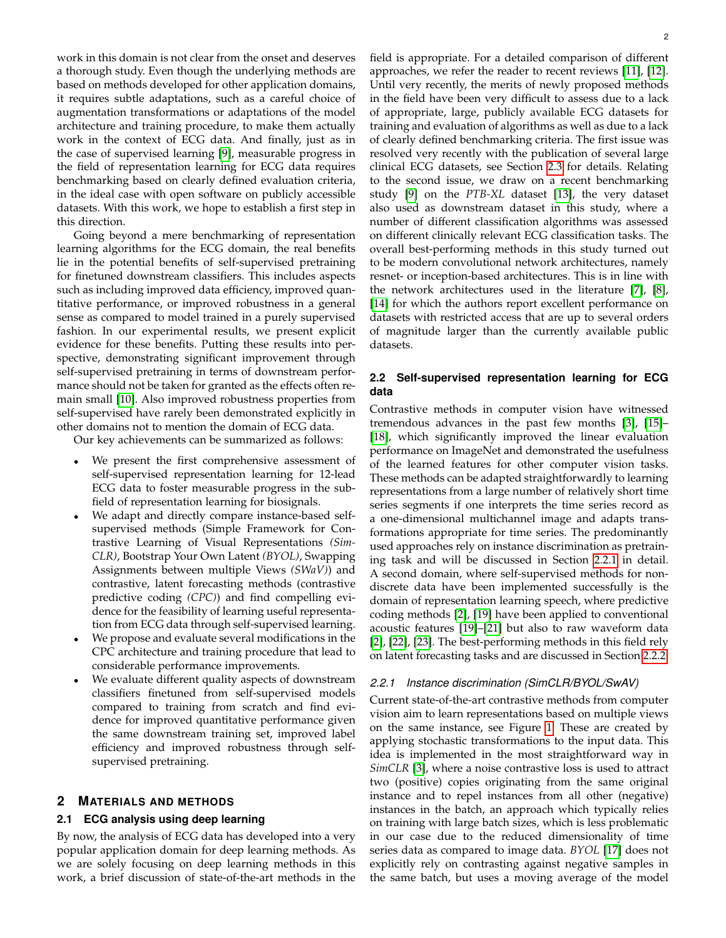work in this domain is not clear from the onset and deserves a thorough study. Even though the underlying methods are based on methods developed for other application domains, it requires subtle adaptations, such as a careful choice of augmentation transformations or adaptations of the model architecture and training procedure, to make them actually work in the context of ECG data. And finally, just as in the case of supervised learning [\[9\]](#page-8-8), measurable progress in the field of representation learning for ECG data requires benchmarking based on clearly defined evaluation criteria, in the ideal case with open software on publicly accessible datasets. With this work, we hope to establish a first step in this direction.

Going beyond a mere benchmarking of representation learning algorithms for the ECG domain, the real benefits lie in the potential benefits of self-supervised pretraining for finetuned downstream classifiers. This includes aspects such as including improved data efficiency, improved quantitative performance, or improved robustness in a general sense as compared to model trained in a purely supervised fashion. In our experimental results, we present explicit evidence for these benefits. Putting these results into perspective, demonstrating significant improvement through self-supervised pretraining in terms of downstream performance should not be taken for granted as the effects often remain small [\[10\]](#page-8-9). Also improved robustness properties from self-supervised have rarely been demonstrated explicitly in other domains not to mention the domain of ECG data.

Our key achievements can be summarized as follows:

- We present the first comprehensive assessment of self-supervised representation learning for 12-lead ECG data to foster measurable progress in the subfield of representation learning for biosignals.
- We adapt and directly compare instance-based selfsupervised methods (Simple Framework for Contrastive Learning of Visual Representations *(Sim-CLR)*, Bootstrap Your Own Latent *(BYOL)*, Swapping Assignments between multiple Views *(SWaV)*) and contrastive, latent forecasting methods (contrastive predictive coding *(CPC)*) and find compelling evidence for the feasibility of learning useful representation from ECG data through self-supervised learning.
- We propose and evaluate several modifications in the CPC architecture and training procedure that lead to considerable performance improvements.
- We evaluate different quality aspects of downstream classifiers finetuned from self-supervised models compared to training from scratch and find evidence for improved quantitative performance given the same downstream training set, improved label efficiency and improved robustness through selfsupervised pretraining.

# **2 MATERIALS AND METHODS**

## **2.1 ECG analysis using deep learning**

By now, the analysis of ECG data has developed into a very popular application domain for deep learning methods. As we are solely focusing on deep learning methods in this work, a brief discussion of state-of-the-art methods in the field is appropriate. For a detailed comparison of different approaches, we refer the reader to recent reviews [\[11\]](#page-8-10), [\[12\]](#page-8-11). Until very recently, the merits of newly proposed methods in the field have been very difficult to assess due to a lack of appropriate, large, publicly available ECG datasets for training and evaluation of algorithms as well as due to a lack of clearly defined benchmarking criteria. The first issue was resolved very recently with the publication of several large clinical ECG datasets, see Section [2.3](#page-3-0) for details. Relating to the second issue, we draw on a recent benchmarking study [\[9\]](#page-8-8) on the *PTB-XL* dataset [\[13\]](#page-8-12), the very dataset also used as downstream dataset in this study, where a number of different classification algorithms was assessed on different clinically relevant ECG classification tasks. The overall best-performing methods in this study turned out to be modern convolutional network architectures, namely resnet- or inception-based architectures. This is in line with the network architectures used in the literature [\[7\]](#page-8-6), [\[8\]](#page-8-7), [\[14\]](#page-8-13) for which the authors report excellent performance on datasets with restricted access that are up to several orders of magnitude larger than the currently available public datasets.

## **2.2 Self-supervised representation learning for ECG data**

Contrastive methods in computer vision have witnessed tremendous advances in the past few months [\[3\]](#page-8-2), [\[15\]](#page-8-14)– [\[18\]](#page-8-15), which significantly improved the linear evaluation performance on ImageNet and demonstrated the usefulness of the learned features for other computer vision tasks. These methods can be adapted straightforwardly to learning representations from a large number of relatively short time series segments if one interprets the time series record as a one-dimensional multichannel image and adapts transformations appropriate for time series. The predominantly used approaches rely on instance discrimination as pretraining task and will be discussed in Section [2.2.1](#page-1-0) in detail. A second domain, where self-supervised methods for nondiscrete data have been implemented successfully is the domain of representation learning speech, where predictive coding methods [\[2\]](#page-8-1), [\[19\]](#page-8-16) have been applied to conventional acoustic features [\[19\]](#page-8-16)–[\[21\]](#page-8-17) but also to raw waveform data [\[2\]](#page-8-1), [\[22\]](#page-8-18), [\[23\]](#page-8-19). The best-performing methods in this field rely on latent forecasting tasks and are discussed in Section [2.2.2.](#page-2-0)

#### <span id="page-1-0"></span>*2.2.1 Instance discrimination (SimCLR/BYOL/SwAV)*

Current state-of-the-art contrastive methods from computer vision aim to learn representations based on multiple views on the same instance, see Figure [1.](#page-2-1) These are created by applying stochastic transformations to the input data. This idea is implemented in the most straightforward way in *SimCLR* [\[3\]](#page-8-2), where a noise contrastive loss is used to attract two (positive) copies originating from the same original instance and to repel instances from all other (negative) instances in the batch, an approach which typically relies on training with large batch sizes, which is less problematic in our case due to the reduced dimensionality of time series data as compared to image data. *BYOL* [\[17\]](#page-8-20) does not explicitly rely on contrasting against negative samples in the same batch, but uses a moving average of the model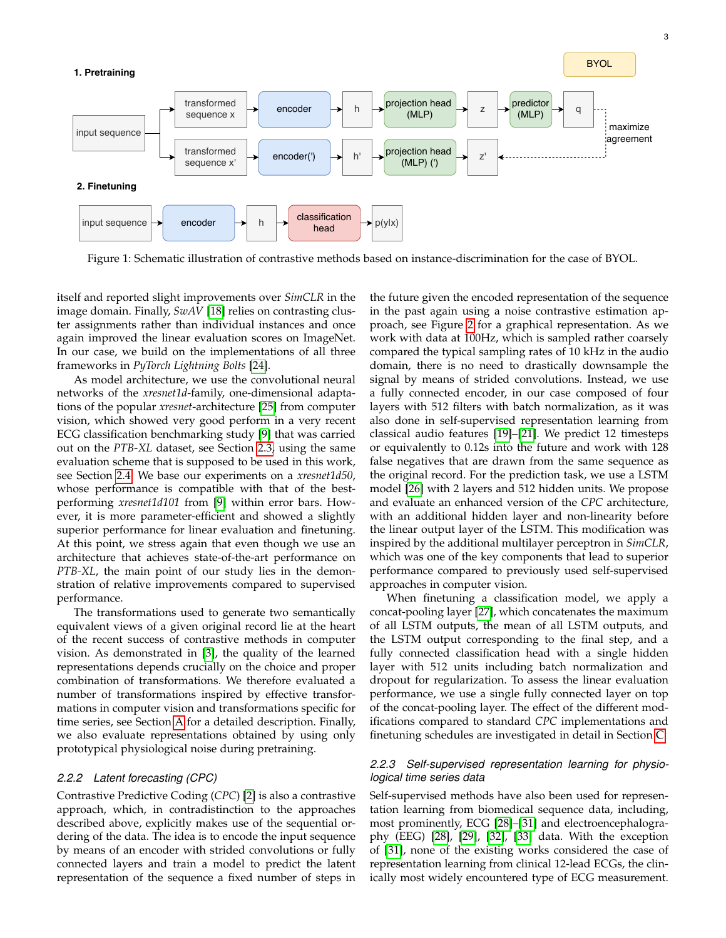<span id="page-2-1"></span>

Figure 1: Schematic illustration of contrastive methods based on instance-discrimination for the case of BYOL.

itself and reported slight improvements over *SimCLR* in the image domain. Finally, *SwAV* [\[18\]](#page-8-15) relies on contrasting cluster assignments rather than individual instances and once again improved the linear evaluation scores on ImageNet. In our case, we build on the implementations of all three frameworks in *PyTorch Lightning Bolts* [\[24\]](#page-8-21).

As model architecture, we use the convolutional neural networks of the *xresnet1d*-family, one-dimensional adaptations of the popular *xresnet*-architecture [\[25\]](#page-9-0) from computer vision, which showed very good perform in a very recent ECG classification benchmarking study [\[9\]](#page-8-8) that was carried out on the *PTB-XL* dataset, see Section [2.3,](#page-3-0) using the same evaluation scheme that is supposed to be used in this work, see Section [2.4.](#page-3-1) We base our experiments on a *xresnet1d50*, whose performance is compatible with that of the bestperforming *xresnet1d101* from [\[9\]](#page-8-8) within error bars. However, it is more parameter-efficient and showed a slightly superior performance for linear evaluation and finetuning. At this point, we stress again that even though we use an architecture that achieves state-of-the-art performance on *PTB-XL*, the main point of our study lies in the demonstration of relative improvements compared to supervised performance.

The transformations used to generate two semantically equivalent views of a given original record lie at the heart of the recent success of contrastive methods in computer vision. As demonstrated in [\[3\]](#page-8-2), the quality of the learned representations depends crucially on the choice and proper combination of transformations. We therefore evaluated a number of transformations inspired by effective transformations in computer vision and transformations specific for time series, see Section [A](#page-10-0) for a detailed description. Finally, we also evaluate representations obtained by using only prototypical physiological noise during pretraining.

#### <span id="page-2-0"></span>*2.2.2 Latent forecasting (CPC)*

Contrastive Predictive Coding (*CPC*) [\[2\]](#page-8-1) is also a contrastive approach, which, in contradistinction to the approaches described above, explicitly makes use of the sequential ordering of the data. The idea is to encode the input sequence by means of an encoder with strided convolutions or fully connected layers and train a model to predict the latent representation of the sequence a fixed number of steps in

the future given the encoded representation of the sequence in the past again using a noise contrastive estimation approach, see Figure [2](#page-3-2) for a graphical representation. As we work with data at 100Hz, which is sampled rather coarsely compared the typical sampling rates of 10 kHz in the audio domain, there is no need to drastically downsample the signal by means of strided convolutions. Instead, we use a fully connected encoder, in our case composed of four layers with 512 filters with batch normalization, as it was also done in self-supervised representation learning from classical audio features [\[19\]](#page-8-16)–[\[21\]](#page-8-17). We predict 12 timesteps or equivalently to 0.12s into the future and work with 128 false negatives that are drawn from the same sequence as the original record. For the prediction task, we use a LSTM model [\[26\]](#page-9-1) with 2 layers and 512 hidden units. We propose and evaluate an enhanced version of the *CPC* architecture, with an additional hidden layer and non-linearity before the linear output layer of the LSTM. This modification was inspired by the additional multilayer perceptron in *SimCLR*, which was one of the key components that lead to superior performance compared to previously used self-supervised approaches in computer vision.

When finetuning a classification model, we apply a concat-pooling layer [\[27\]](#page-9-2), which concatenates the maximum of all LSTM outputs, the mean of all LSTM outputs, and the LSTM output corresponding to the final step, and a fully connected classification head with a single hidden layer with 512 units including batch normalization and dropout for regularization. To assess the linear evaluation performance, we use a single fully connected layer on top of the concat-pooling layer. The effect of the different modifications compared to standard *CPC* implementations and finetuning schedules are investigated in detail in Section [C.](#page-13-0)

### *2.2.3 Self-supervised representation learning for physiological time series data*

Self-supervised methods have also been used for representation learning from biomedical sequence data, including, most prominently, ECG [\[28\]](#page-9-3)–[\[31\]](#page-9-4) and electroencephalography (EEG) [\[28\]](#page-9-3), [\[29\]](#page-9-5), [\[32\]](#page-9-6), [\[33\]](#page-9-7) data. With the exception of [\[31\]](#page-9-4), none of the existing works considered the case of representation learning from clinical 12-lead ECGs, the clinically most widely encountered type of ECG measurement.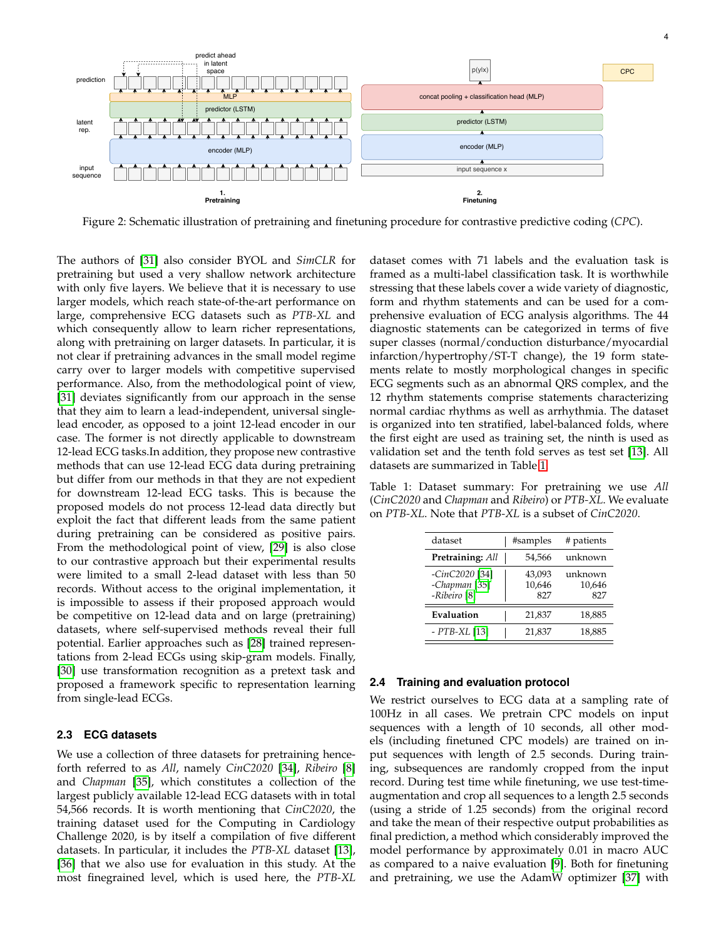

4

<span id="page-3-2"></span>

Figure 2: Schematic illustration of pretraining and finetuning procedure for contrastive predictive coding (*CPC*).

The authors of [\[31\]](#page-9-4) also consider BYOL and *SimCLR* for pretraining but used a very shallow network architecture with only five layers. We believe that it is necessary to use larger models, which reach state-of-the-art performance on large, comprehensive ECG datasets such as *PTB-XL* and which consequently allow to learn richer representations, along with pretraining on larger datasets. In particular, it is not clear if pretraining advances in the small model regime carry over to larger models with competitive supervised performance. Also, from the methodological point of view, [\[31\]](#page-9-4) deviates significantly from our approach in the sense that they aim to learn a lead-independent, universal singlelead encoder, as opposed to a joint 12-lead encoder in our case. The former is not directly applicable to downstream 12-lead ECG tasks.In addition, they propose new contrastive methods that can use 12-lead ECG data during pretraining but differ from our methods in that they are not expedient for downstream 12-lead ECG tasks. This is because the proposed models do not process 12-lead data directly but exploit the fact that different leads from the same patient during pretraining can be considered as positive pairs. From the methodological point of view, [\[29\]](#page-9-5) is also close to our contrastive approach but their experimental results were limited to a small 2-lead dataset with less than 50 records. Without access to the original implementation, it is impossible to assess if their proposed approach would be competitive on 12-lead data and on large (pretraining) datasets, where self-supervised methods reveal their full potential. Earlier approaches such as [\[28\]](#page-9-3) trained representations from 2-lead ECGs using skip-gram models. Finally, [\[30\]](#page-9-8) use transformation recognition as a pretext task and proposed a framework specific to representation learning from single-lead ECGs.

# <span id="page-3-0"></span>**2.3 ECG datasets**

We use a collection of three datasets for pretraining henceforth referred to as *All*, namely *CinC2020* [\[34\]](#page-9-9), *Ribeiro* [\[8\]](#page-8-7) and *Chapman* [\[35\]](#page-9-10), which constitutes a collection of the largest publicly available 12-lead ECG datasets with in total 54,566 records. It is worth mentioning that *CinC2020*, the training dataset used for the Computing in Cardiology Challenge 2020, is by itself a compilation of five different datasets. In particular, it includes the *PTB-XL* dataset [\[13\]](#page-8-12), [\[36\]](#page-9-11) that we also use for evaluation in this study. At the most finegrained level, which is used here, the *PTB-XL* dataset comes with 71 labels and the evaluation task is framed as a multi-label classification task. It is worthwhile stressing that these labels cover a wide variety of diagnostic, form and rhythm statements and can be used for a comprehensive evaluation of ECG analysis algorithms. The 44 diagnostic statements can be categorized in terms of five super classes (normal/conduction disturbance/myocardial infarction/hypertrophy/ST-T change), the 19 form statements relate to mostly morphological changes in specific ECG segments such as an abnormal QRS complex, and the 12 rhythm statements comprise statements characterizing normal cardiac rhythms as well as arrhythmia. The dataset is organized into ten stratified, label-balanced folds, where the first eight are used as training set, the ninth is used as validation set and the tenth fold serves as test set [\[13\]](#page-8-12). All datasets are summarized in Table [1.](#page-3-3)

<span id="page-3-3"></span>Table 1: Dataset summary: For pretraining we use *All* (*CinC2020* and *Chapman* and *Ribeiro*) or *PTB-XL*. We evaluate on *PTB-XL*. Note that *PTB-XL* is a subset of *CinC2020*.

| dataset                                                               | #samples                | # patients               |
|-----------------------------------------------------------------------|-------------------------|--------------------------|
| Pretraining: All                                                      | 54,566                  | unknown                  |
| -CinC2020 [34]<br>-Chapman <sup>[35]</sup><br>-Ribeiro <sup>[8]</sup> | 43,093<br>10,646<br>827 | unknown<br>10,646<br>827 |
| Evaluation                                                            | 21,837                  | 18,885                   |
| $- PTB-XL$ [13]                                                       | 21,837                  | 18,885                   |

#### <span id="page-3-1"></span>**2.4 Training and evaluation protocol**

We restrict ourselves to ECG data at a sampling rate of 100Hz in all cases. We pretrain CPC models on input sequences with a length of 10 seconds, all other models (including finetuned CPC models) are trained on input sequences with length of 2.5 seconds. During training, subsequences are randomly cropped from the input record. During test time while finetuning, we use test-timeaugmentation and crop all sequences to a length 2.5 seconds (using a stride of 1.25 seconds) from the original record and take the mean of their respective output probabilities as final prediction, a method which considerably improved the model performance by approximately 0.01 in macro AUC as compared to a naive evaluation [\[9\]](#page-8-8). Both for finetuning and pretraining, we use the AdamW optimizer [\[37\]](#page-9-12) with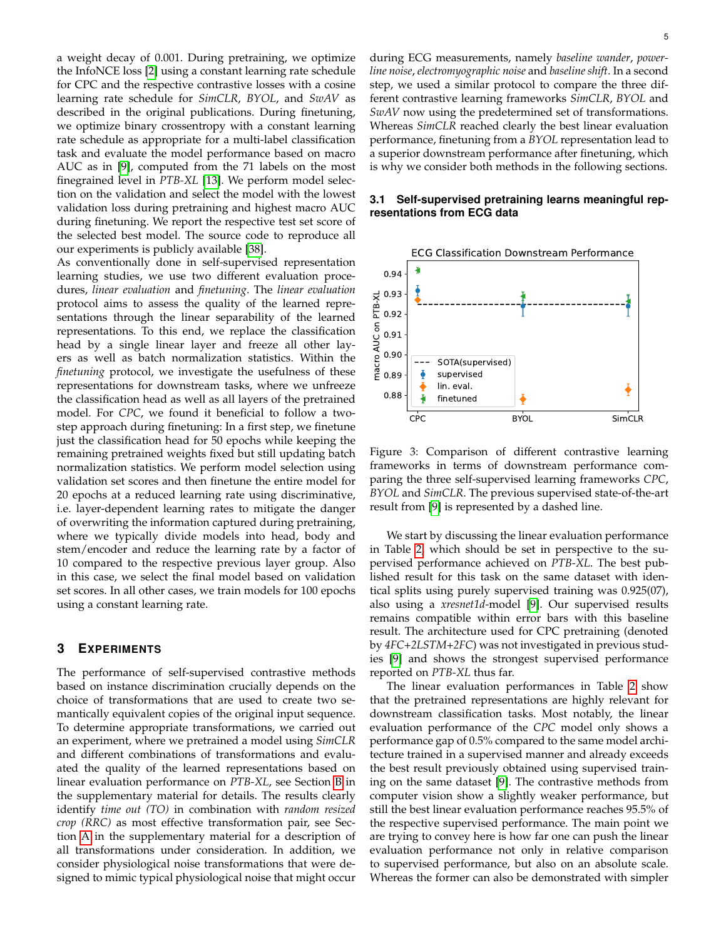a weight decay of 0.001. During pretraining, we optimize the InfoNCE loss [\[2\]](#page-8-1) using a constant learning rate schedule for CPC and the respective contrastive losses with a cosine learning rate schedule for *SimCLR*, *BYOL*, and *SwAV* as described in the original publications. During finetuning, we optimize binary crossentropy with a constant learning rate schedule as appropriate for a multi-label classification task and evaluate the model performance based on macro AUC as in [\[9\]](#page-8-8), computed from the 71 labels on the most finegrained level in *PTB-XL* [\[13\]](#page-8-12). We perform model selection on the validation and select the model with the lowest validation loss during pretraining and highest macro AUC during finetuning. We report the respective test set score of the selected best model. The source code to reproduce all our experiments is publicly available [\[38\]](#page-9-13).

As conventionally done in self-supervised representation learning studies, we use two different evaluation procedures, *linear evaluation* and *finetuning*. The *linear evaluation* protocol aims to assess the quality of the learned representations through the linear separability of the learned representations. To this end, we replace the classification head by a single linear layer and freeze all other layers as well as batch normalization statistics. Within the *finetuning* protocol, we investigate the usefulness of these representations for downstream tasks, where we unfreeze the classification head as well as all layers of the pretrained model. For *CPC*, we found it beneficial to follow a twostep approach during finetuning: In a first step, we finetune just the classification head for 50 epochs while keeping the remaining pretrained weights fixed but still updating batch normalization statistics. We perform model selection using validation set scores and then finetune the entire model for 20 epochs at a reduced learning rate using discriminative, i.e. layer-dependent learning rates to mitigate the danger of overwriting the information captured during pretraining, where we typically divide models into head, body and stem/encoder and reduce the learning rate by a factor of 10 compared to the respective previous layer group. Also in this case, we select the final model based on validation set scores. In all other cases, we train models for 100 epochs using a constant learning rate.

# **3 EXPERIMENTS**

The performance of self-supervised contrastive methods based on instance discrimination crucially depends on the choice of transformations that are used to create two semantically equivalent copies of the original input sequence. To determine appropriate transformations, we carried out an experiment, where we pretrained a model using *SimCLR* and different combinations of transformations and evaluated the quality of the learned representations based on linear evaluation performance on *PTB-XL*, see Section [B](#page-12-0) in the supplementary material for details. The results clearly identify *time out (TO)* in combination with *random resized crop (RRC)* as most effective transformation pair, see Section [A](#page-10-0) in the supplementary material for a description of all transformations under consideration. In addition, we consider physiological noise transformations that were designed to mimic typical physiological noise that might occur during ECG measurements, namely *baseline wander*, *powerline noise*, *electromyographic noise* and *baseline shift*. In a second step, we used a similar protocol to compare the three different contrastive learning frameworks *SimCLR*, *BYOL* and *SwAV* now using the predetermined set of transformations. Whereas *SimCLR* reached clearly the best linear evaluation performance, finetuning from a *BYOL* representation lead to a superior downstream performance after finetuning, which is why we consider both methods in the following sections.

# <span id="page-4-1"></span>**3.1 Self-supervised pretraining learns meaningful representations from ECG data**

<span id="page-4-0"></span>

Figure 3: Comparison of different contrastive learning frameworks in terms of downstream performance comparing the three self-supervised learning frameworks *CPC*, *BYOL* and *SimCLR*. The previous supervised state-of-the-art result from [\[9\]](#page-8-8) is represented by a dashed line.

We start by discussing the linear evaluation performance in Table [2,](#page-5-0) which should be set in perspective to the supervised performance achieved on *PTB-XL*. The best published result for this task on the same dataset with identical splits using purely supervised training was 0.925(07), also using a *xresnet1d*-model [\[9\]](#page-8-8). Our supervised results remains compatible within error bars with this baseline result. The architecture used for CPC pretraining (denoted by *4FC+2LSTM+2FC*) was not investigated in previous studies [\[9\]](#page-8-8) and shows the strongest supervised performance reported on *PTB-XL* thus far.

The linear evaluation performances in Table [2](#page-5-0) show that the pretrained representations are highly relevant for downstream classification tasks. Most notably, the linear evaluation performance of the *CPC* model only shows a performance gap of 0.5% compared to the same model architecture trained in a supervised manner and already exceeds the best result previously obtained using supervised training on the same dataset [\[9\]](#page-8-8). The contrastive methods from computer vision show a slightly weaker performance, but still the best linear evaluation performance reaches 95.5% of the respective supervised performance. The main point we are trying to convey here is how far one can push the linear evaluation performance not only in relative comparison to supervised performance, but also on an absolute scale. Whereas the former can also be demonstrated with simpler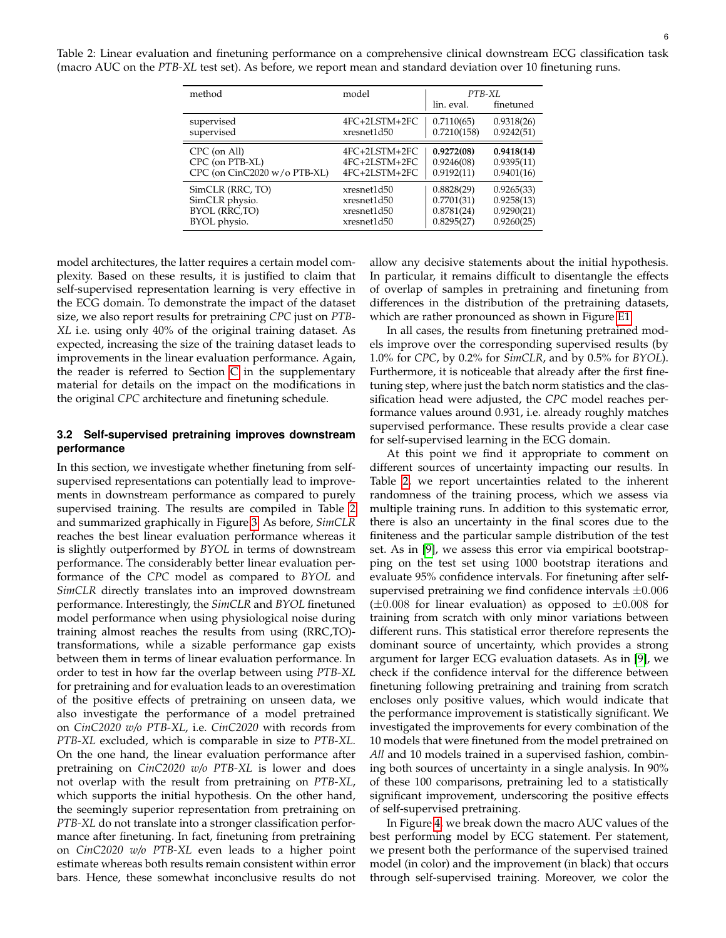<span id="page-5-0"></span>Table 2: Linear evaluation and finetuning performance on a comprehensive clinical downstream ECG classification task (macro AUC on the *PTB-XL* test set). As before, we report mean and standard deviation over 10 finetuning runs.

| method                           | model         | PTB-XL      |            |
|----------------------------------|---------------|-------------|------------|
|                                  |               | lin, eval.  | finetuned  |
| supervised                       | 4FC+2LSTM+2FC | 0.7110(65)  | 0.9318(26) |
| supervised                       | xresnet1d50   | 0.7210(158) | 0.9242(51) |
| CPC (on All)                     | 4FC+2LSTM+2FC | 0.9272(08)  | 0.9418(14) |
| CPC (on PTB-XL)                  | 4FC+2LSTM+2FC | 0.9246(08)  | 0.9395(11) |
| $CPC$ (on $CinC2020$ w/o PTB-XL) | 4FC+2LSTM+2FC | 0.9192(11)  | 0.9401(16) |
| SimCLR (RRC, TO)                 | xresnet1d50   | 0.8828(29)  | 0.9265(33) |
| SimCLR physio.                   | xresnet1d50   | 0.7701(31)  | 0.9258(13) |
| BYOL (RRC,TO)                    | xresnet1d50   | 0.8781(24)  | 0.9290(21) |
| BYOL physio.                     | xresnet1d50   | 0.8295(27)  | 0.9260(25) |

model architectures, the latter requires a certain model complexity. Based on these results, it is justified to claim that self-supervised representation learning is very effective in the ECG domain. To demonstrate the impact of the dataset size, we also report results for pretraining *CPC* just on *PTB-XL* i.e. using only 40% of the original training dataset. As expected, increasing the size of the training dataset leads to improvements in the linear evaluation performance. Again, the reader is referred to Section  $C$  in the supplementary material for details on the impact on the modifications in the original *CPC* architecture and finetuning schedule.

## <span id="page-5-1"></span>**3.2 Self-supervised pretraining improves downstream performance**

In this section, we investigate whether finetuning from selfsupervised representations can potentially lead to improvements in downstream performance as compared to purely supervised training. The results are compiled in Table [2](#page-5-0) and summarized graphically in Figure [3.](#page-4-0) As before, *SimCLR* reaches the best linear evaluation performance whereas it is slightly outperformed by *BYOL* in terms of downstream performance. The considerably better linear evaluation performance of the *CPC* model as compared to *BYOL* and *SimCLR* directly translates into an improved downstream performance. Interestingly, the *SimCLR* and *BYOL* finetuned model performance when using physiological noise during training almost reaches the results from using (RRC,TO) transformations, while a sizable performance gap exists between them in terms of linear evaluation performance. In order to test in how far the overlap between using *PTB-XL* for pretraining and for evaluation leads to an overestimation of the positive effects of pretraining on unseen data, we also investigate the performance of a model pretrained on *CinC2020 w/o PTB-XL*, i.e. *CinC2020* with records from *PTB-XL* excluded, which is comparable in size to *PTB-XL*. On the one hand, the linear evaluation performance after pretraining on *CinC2020 w/o PTB-XL* is lower and does not overlap with the result from pretraining on *PTB-XL*, which supports the initial hypothesis. On the other hand, the seemingly superior representation from pretraining on *PTB-XL* do not translate into a stronger classification performance after finetuning. In fact, finetuning from pretraining on *CinC2020 w/o PTB-XL* even leads to a higher point estimate whereas both results remain consistent within error bars. Hence, these somewhat inconclusive results do not

allow any decisive statements about the initial hypothesis. In particular, it remains difficult to disentangle the effects of overlap of samples in pretraining and finetuning from differences in the distribution of the pretraining datasets, which are rather pronounced as shown in Figure [E1.](#page-14-0)

In all cases, the results from finetuning pretrained models improve over the corresponding supervised results (by 1.0% for *CPC*, by 0.2% for *SimCLR*, and by 0.5% for *BYOL*). Furthermore, it is noticeable that already after the first finetuning step, where just the batch norm statistics and the classification head were adjusted, the *CPC* model reaches performance values around 0.931, i.e. already roughly matches supervised performance. These results provide a clear case for self-supervised learning in the ECG domain.

At this point we find it appropriate to comment on different sources of uncertainty impacting our results. In Table [2,](#page-5-0) we report uncertainties related to the inherent randomness of the training process, which we assess via multiple training runs. In addition to this systematic error, there is also an uncertainty in the final scores due to the finiteness and the particular sample distribution of the test set. As in [\[9\]](#page-8-8), we assess this error via empirical bootstrapping on the test set using 1000 bootstrap iterations and evaluate 95% confidence intervals. For finetuning after selfsupervised pretraining we find confidence intervals  $\pm 0.006$  $(\pm 0.008$  for linear evaluation) as opposed to  $\pm 0.008$  for training from scratch with only minor variations between different runs. This statistical error therefore represents the dominant source of uncertainty, which provides a strong argument for larger ECG evaluation datasets. As in [\[9\]](#page-8-8), we check if the confidence interval for the difference between finetuning following pretraining and training from scratch encloses only positive values, which would indicate that the performance improvement is statistically significant. We investigated the improvements for every combination of the 10 models that were finetuned from the model pretrained on *All* and 10 models trained in a supervised fashion, combining both sources of uncertainty in a single analysis. In 90% of these 100 comparisons, pretraining led to a statistically significant improvement, underscoring the positive effects of self-supervised pretraining.

In Figure [4,](#page-6-0) we break down the macro AUC values of the best performing model by ECG statement. Per statement, we present both the performance of the supervised trained model (in color) and the improvement (in black) that occurs through self-supervised training. Moreover, we color the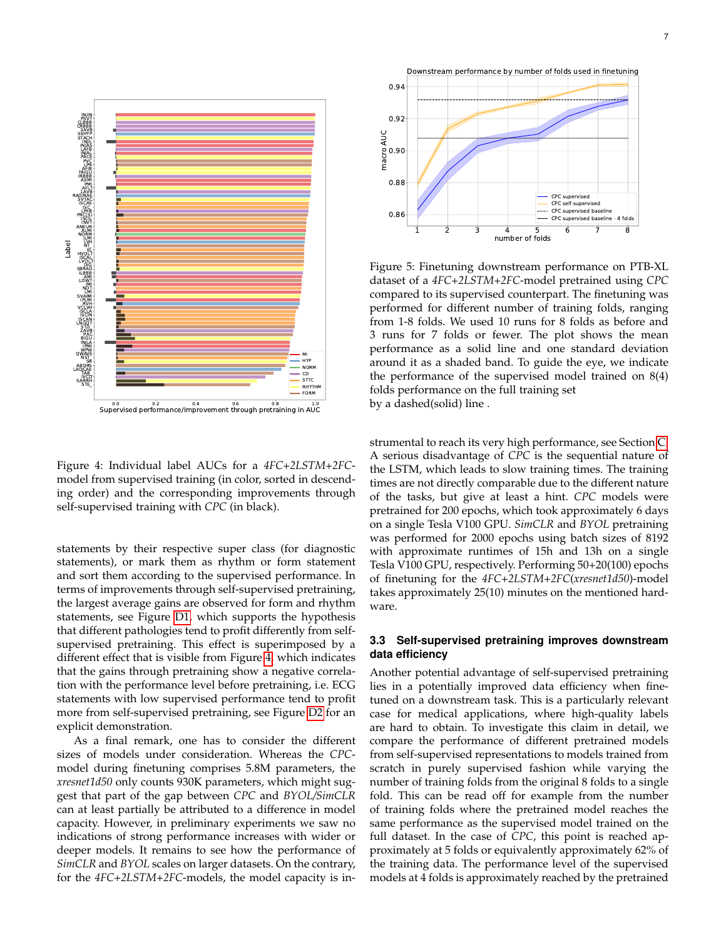<span id="page-6-0"></span>

Figure 4: Individual label AUCs for a *4FC+2LSTM+2FC*model from supervised training (in color, sorted in descending order) and the corresponding improvements through self-supervised training with *CPC* (in black).

statements by their respective super class (for diagnostic statements), or mark them as rhythm or form statement and sort them according to the supervised performance. In terms of improvements through self-supervised pretraining, the largest average gains are observed for form and rhythm statements, see Figure [D1,](#page-14-1) which supports the hypothesis that different pathologies tend to profit differently from selfsupervised pretraining. This effect is superimposed by a different effect that is visible from Figure [4,](#page-6-0) which indicates that the gains through pretraining show a negative correlation with the performance level before pretraining, i.e. ECG statements with low supervised performance tend to profit more from self-supervised pretraining, see Figure [D2](#page-14-2) for an explicit demonstration.

As a final remark, one has to consider the different sizes of models under consideration. Whereas the *CPC*model during finetuning comprises 5.8M parameters, the *xresnet1d50* only counts 930K parameters, which might suggest that part of the gap between *CPC* and *BYOL/SimCLR* can at least partially be attributed to a difference in model capacity. However, in preliminary experiments we saw no indications of strong performance increases with wider or deeper models. It remains to see how the performance of *SimCLR* and *BYOL* scales on larger datasets. On the contrary, for the *4FC+2LSTM+2FC*-models, the model capacity is in-

<span id="page-6-1"></span>

Figure 5: Finetuning downstream performance on PTB-XL dataset of a *4FC+2LSTM+2FC*-model pretrained using *CPC* compared to its supervised counterpart. The finetuning was performed for different number of training folds, ranging from 1-8 folds. We used 10 runs for 8 folds as before and 3 runs for 7 folds or fewer. The plot shows the mean performance as a solid line and one standard deviation around it as a shaded band. To guide the eye, we indicate the performance of the supervised model trained on 8(4) folds performance on the full training set by a dashed(solid) line .

strumental to reach its very high performance, see Section [C.](#page-13-0) A serious disadvantage of *CPC* is the sequential nature of the LSTM, which leads to slow training times. The training times are not directly comparable due to the different nature of the tasks, but give at least a hint. *CPC* models were pretrained for 200 epochs, which took approximately 6 days on a single Tesla V100 GPU. *SimCLR* and *BYOL* pretraining was performed for 2000 epochs using batch sizes of 8192 with approximate runtimes of 15h and 13h on a single Tesla V100 GPU, respectively. Performing 50+20(100) epochs of finetuning for the *4FC+2LSTM+2FC*(*xresnet1d50*)-model takes approximately 25(10) minutes on the mentioned hardware.

## <span id="page-6-2"></span>**3.3 Self-supervised pretraining improves downstream data efficiency**

Another potential advantage of self-supervised pretraining lies in a potentially improved data efficiency when finetuned on a downstream task. This is a particularly relevant case for medical applications, where high-quality labels are hard to obtain. To investigate this claim in detail, we compare the performance of different pretrained models from self-supervised representations to models trained from scratch in purely supervised fashion while varying the number of training folds from the original 8 folds to a single fold. This can be read off for example from the number of training folds where the pretrained model reaches the same performance as the supervised model trained on the full dataset. In the case of *CPC*, this point is reached approximately at 5 folds or equivalently approximately 62% of the training data. The performance level of the supervised models at 4 folds is approximately reached by the pretrained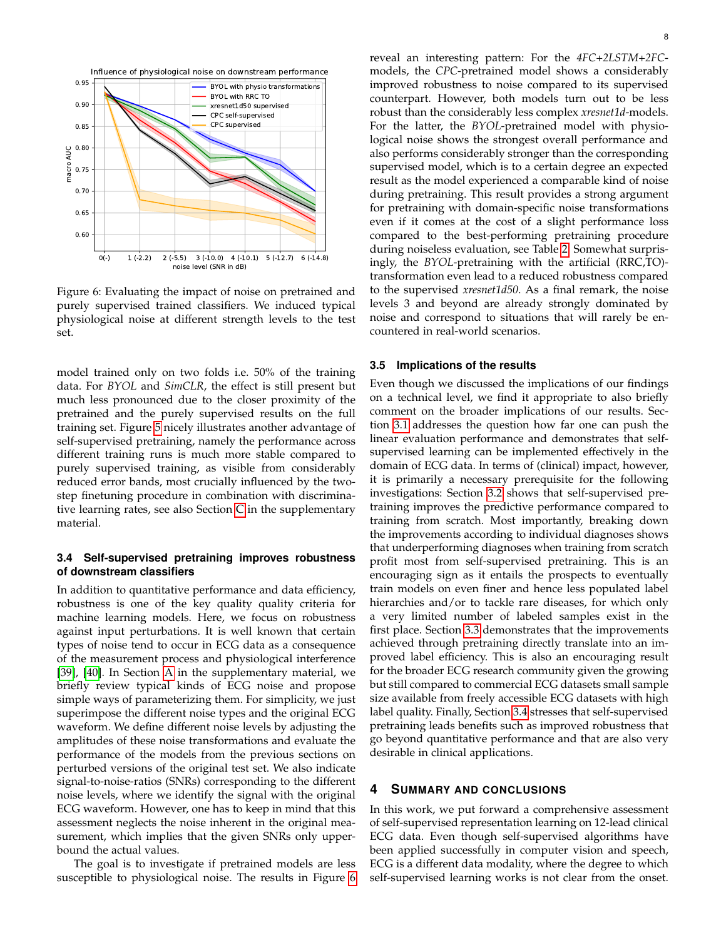<span id="page-7-0"></span>

Figure 6: Evaluating the impact of noise on pretrained and purely supervised trained classifiers. We induced typical physiological noise at different strength levels to the test set.

model trained only on two folds i.e. 50% of the training data. For *BYOL* and *SimCLR*, the effect is still present but much less pronounced due to the closer proximity of the pretrained and the purely supervised results on the full training set. Figure [5](#page-6-1) nicely illustrates another advantage of self-supervised pretraining, namely the performance across different training runs is much more stable compared to purely supervised training, as visible from considerably reduced error bands, most crucially influenced by the twostep finetuning procedure in combination with discriminative learning rates, see also Section [C](#page-13-0) in the supplementary material.

## <span id="page-7-1"></span>**3.4 Self-supervised pretraining improves robustness of downstream classifiers**

In addition to quantitative performance and data efficiency, robustness is one of the key quality quality criteria for machine learning models. Here, we focus on robustness against input perturbations. It is well known that certain types of noise tend to occur in ECG data as a consequence of the measurement process and physiological interference [\[39\]](#page-9-14), [\[40\]](#page-9-15). In Section [A](#page-10-0) in the supplementary material, we briefly review typical kinds of ECG noise and propose simple ways of parameterizing them. For simplicity, we just superimpose the different noise types and the original ECG waveform. We define different noise levels by adjusting the amplitudes of these noise transformations and evaluate the performance of the models from the previous sections on perturbed versions of the original test set. We also indicate signal-to-noise-ratios (SNRs) corresponding to the different noise levels, where we identify the signal with the original ECG waveform. However, one has to keep in mind that this assessment neglects the noise inherent in the original measurement, which implies that the given SNRs only upperbound the actual values.

The goal is to investigate if pretrained models are less susceptible to physiological noise. The results in Figure [6](#page-7-0) reveal an interesting pattern: For the *4FC+2LSTM+2FC*models, the *CPC*-pretrained model shows a considerably improved robustness to noise compared to its supervised counterpart. However, both models turn out to be less robust than the considerably less complex *xresnet1d*-models. For the latter, the *BYOL*-pretrained model with physiological noise shows the strongest overall performance and also performs considerably stronger than the corresponding supervised model, which is to a certain degree an expected result as the model experienced a comparable kind of noise during pretraining. This result provides a strong argument for pretraining with domain-specific noise transformations even if it comes at the cost of a slight performance loss compared to the best-performing pretraining procedure during noiseless evaluation, see Table [2.](#page-5-0) Somewhat surprisingly, the *BYOL*-pretraining with the artificial (RRC,TO) transformation even lead to a reduced robustness compared to the supervised *xresnet1d50*. As a final remark, the noise levels 3 and beyond are already strongly dominated by noise and correspond to situations that will rarely be encountered in real-world scenarios.

#### **3.5 Implications of the results**

Even though we discussed the implications of our findings on a technical level, we find it appropriate to also briefly comment on the broader implications of our results. Section [3.1](#page-4-1) addresses the question how far one can push the linear evaluation performance and demonstrates that selfsupervised learning can be implemented effectively in the domain of ECG data. In terms of (clinical) impact, however, it is primarily a necessary prerequisite for the following investigations: Section [3.2](#page-5-1) shows that self-supervised pretraining improves the predictive performance compared to training from scratch. Most importantly, breaking down the improvements according to individual diagnoses shows that underperforming diagnoses when training from scratch profit most from self-supervised pretraining. This is an encouraging sign as it entails the prospects to eventually train models on even finer and hence less populated label hierarchies and/or to tackle rare diseases, for which only a very limited number of labeled samples exist in the first place. Section [3.3](#page-6-2) demonstrates that the improvements achieved through pretraining directly translate into an improved label efficiency. This is also an encouraging result for the broader ECG research community given the growing but still compared to commercial ECG datasets small sample size available from freely accessible ECG datasets with high label quality. Finally, Section [3.4](#page-7-1) stresses that self-supervised pretraining leads benefits such as improved robustness that go beyond quantitative performance and that are also very desirable in clinical applications.

#### **4 SUMMARY AND CONCLUSIONS**

In this work, we put forward a comprehensive assessment of self-supervised representation learning on 12-lead clinical ECG data. Even though self-supervised algorithms have been applied successfully in computer vision and speech, ECG is a different data modality, where the degree to which self-supervised learning works is not clear from the onset.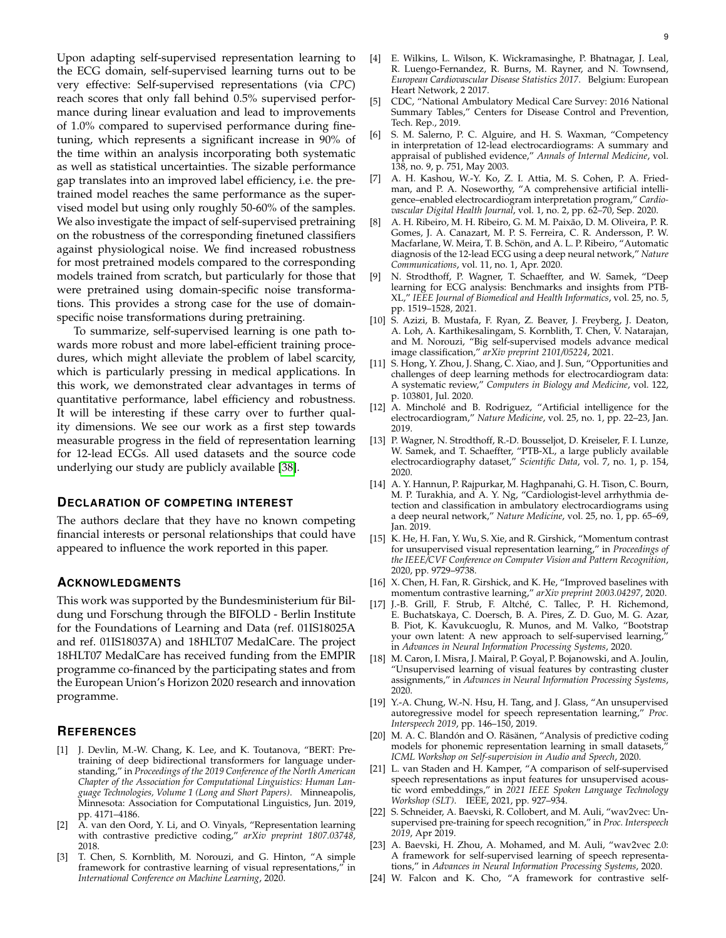Upon adapting self-supervised representation learning to the ECG domain, self-supervised learning turns out to be very effective: Self-supervised representations (via *CPC*) reach scores that only fall behind 0.5% supervised performance during linear evaluation and lead to improvements of 1.0% compared to supervised performance during finetuning, which represents a significant increase in 90% of the time within an analysis incorporating both systematic as well as statistical uncertainties. The sizable performance gap translates into an improved label efficiency, i.e. the pretrained model reaches the same performance as the supervised model but using only roughly 50-60% of the samples. We also investigate the impact of self-supervised pretraining on the robustness of the corresponding finetuned classifiers against physiological noise. We find increased robustness for most pretrained models compared to the corresponding models trained from scratch, but particularly for those that were pretrained using domain-specific noise transformations. This provides a strong case for the use of domainspecific noise transformations during pretraining.

To summarize, self-supervised learning is one path towards more robust and more label-efficient training procedures, which might alleviate the problem of label scarcity, which is particularly pressing in medical applications. In this work, we demonstrated clear advantages in terms of quantitative performance, label efficiency and robustness. It will be interesting if these carry over to further quality dimensions. We see our work as a first step towards measurable progress in the field of representation learning for 12-lead ECGs. All used datasets and the source code underlying our study are publicly available [\[38\]](#page-9-13).

#### **DECLARATION OF COMPETING INTEREST**

The authors declare that they have no known competing financial interests or personal relationships that could have appeared to influence the work reported in this paper.

#### **ACKNOWLEDGMENTS**

This work was supported by the Bundesministerium für Bildung und Forschung through the BIFOLD - Berlin Institute for the Foundations of Learning and Data (ref. 01IS18025A and ref. 01IS18037A) and 18HLT07 MedalCare. The project 18HLT07 MedalCare has received funding from the EMPIR programme co-financed by the participating states and from the European Union's Horizon 2020 research and innovation programme.

## **REFERENCES**

- <span id="page-8-0"></span>[1] J. Devlin, M.-W. Chang, K. Lee, and K. Toutanova, "BERT: Pretraining of deep bidirectional transformers for language understanding," in *Proceedings of the 2019 Conference of the North American Chapter of the Association for Computational Linguistics: Human Language Technologies, Volume 1 (Long and Short Papers)*. Minneapolis, Minnesota: Association for Computational Linguistics, Jun. 2019, pp. 4171–4186.
- <span id="page-8-1"></span>[2] A. van den Oord, Y. Li, and O. Vinyals, "Representation learning with contrastive predictive coding," *arXiv preprint 1807.03748*, 2018.
- <span id="page-8-2"></span>[3] T. Chen, S. Kornblith, M. Norouzi, and G. Hinton, "A simple framework for contrastive learning of visual representations," in *International Conference on Machine Learning*, 2020.
- <span id="page-8-3"></span>[4] E. Wilkins, L. Wilson, K. Wickramasinghe, P. Bhatnagar, J. Leal, R. Luengo-Fernandez, R. Burns, M. Rayner, and N. Townsend, *European Cardiovascular Disease Statistics 2017*. Belgium: European Heart Network, 2 2017.
- <span id="page-8-4"></span>[5] CDC, "National Ambulatory Medical Care Survey: 2016 National Summary Tables," Centers for Disease Control and Prevention, Tech. Rep., 2019.
- <span id="page-8-5"></span>[6] S. M. Salerno, P. C. Alguire, and H. S. Waxman, "Competency in interpretation of 12-lead electrocardiograms: A summary and appraisal of published evidence," *Annals of Internal Medicine*, vol. 138, no. 9, p. 751, May 2003.
- <span id="page-8-6"></span>[7] A. H. Kashou, W.-Y. Ko, Z. I. Attia, M. S. Cohen, P. A. Friedman, and P. A. Noseworthy, "A comprehensive artificial intelligence–enabled electrocardiogram interpretation program," *Cardiovascular Digital Health Journal*, vol. 1, no. 2, pp. 62–70, Sep. 2020.
- <span id="page-8-7"></span>[8] A. H. Ribeiro, M. H. Ribeiro, G. M. M. Paixão, D. M. Oliveira, P. R. Gomes, J. A. Canazart, M. P. S. Ferreira, C. R. Andersson, P. W. Macfarlane, W. Meira, T. B. Schön, and A. L. P. Ribeiro, "Automatic diagnosis of the 12-lead ECG using a deep neural network," *Nature Communications*, vol. 11, no. 1, Apr. 2020.
- <span id="page-8-8"></span>[9] N. Strodthoff, P. Wagner, T. Schaeffter, and W. Samek, "Deep learning for ECG analysis: Benchmarks and insights from PTB-XL," *IEEE Journal of Biomedical and Health Informatics*, vol. 25, no. 5, pp. 1519–1528, 2021.
- <span id="page-8-9"></span>[10] S. Azizi, B. Mustafa, F. Ryan, Z. Beaver, J. Freyberg, J. Deaton, A. Loh, A. Karthikesalingam, S. Kornblith, T. Chen, V. Natarajan, and M. Norouzi, "Big self-supervised models advance medical image classification," *arXiv preprint 2101/05224*, 2021.
- <span id="page-8-10"></span>[11] S. Hong, Y. Zhou, J. Shang, C. Xiao, and J. Sun, "Opportunities and challenges of deep learning methods for electrocardiogram data: A systematic review," *Computers in Biology and Medicine*, vol. 122, p. 103801, Jul. 2020.
- <span id="page-8-11"></span>[12] A. Mincholé and B. Rodriguez, "Artificial intelligence for the electrocardiogram," *Nature Medicine*, vol. 25, no. 1, pp. 22–23, Jan. 2019.
- <span id="page-8-12"></span>[13] P. Wagner, N. Strodthoff, R.-D. Bousseljot, D. Kreiseler, F. I. Lunze, W. Samek, and T. Schaeffter, "PTB-XL, a large publicly available electrocardiography dataset," *Scientific Data*, vol. 7, no. 1, p. 154, 2020.
- <span id="page-8-13"></span>[14] A. Y. Hannun, P. Rajpurkar, M. Haghpanahi, G. H. Tison, C. Bourn, M. P. Turakhia, and A. Y. Ng, "Cardiologist-level arrhythmia detection and classification in ambulatory electrocardiograms using a deep neural network," *Nature Medicine*, vol. 25, no. 1, pp. 65–69, Jan. 2019.
- <span id="page-8-14"></span>[15] K. He, H. Fan, Y. Wu, S. Xie, and R. Girshick, "Momentum contrast for unsupervised visual representation learning," in *Proceedings of the IEEE/CVF Conference on Computer Vision and Pattern Recognition*, 2020, pp. 9729–9738.
- [16] X. Chen, H. Fan, R. Girshick, and K. He, "Improved baselines with momentum contrastive learning," *arXiv preprint 2003.04297*, 2020.
- <span id="page-8-20"></span>[17] J.-B. Grill, F. Strub, F. Altché, C. Tallec, P. H. Richemond, E. Buchatskaya, C. Doersch, B. A. Pires, Z. D. Guo, M. G. Azar, B. Piot, K. Kavukcuoglu, R. Munos, and M. Valko, "Bootstrap your own latent: A new approach to self-supervised learning, in *Advances in Neural Information Processing Systems*, 2020.
- <span id="page-8-15"></span>[18] M. Caron, I. Misra, J. Mairal, P. Goyal, P. Bojanowski, and A. Joulin, "Unsupervised learning of visual features by contrasting cluster assignments," in *Advances in Neural Information Processing Systems*, 2020.
- <span id="page-8-16"></span>[19] Y.-A. Chung, W.-N. Hsu, H. Tang, and J. Glass, "An unsupervised autoregressive model for speech representation learning," *Proc. Interspeech 2019*, pp. 146–150, 2019.
- [20] M. A. C. Blandón and O. Räsänen, "Analysis of predictive coding models for phonemic representation learning in small datasets, *ICML Workshop on Self-supervision in Audio and Speech*, 2020.
- <span id="page-8-17"></span>[21] L. van Staden and H. Kamper, "A comparison of self-supervised speech representations as input features for unsupervised acoustic word embeddings," in *2021 IEEE Spoken Language Technology Workshop (SLT)*. IEEE, 2021, pp. 927–934.
- <span id="page-8-18"></span>[22] S. Schneider, A. Baevski, R. Collobert, and M. Auli, "wav2vec: Unsupervised pre-training for speech recognition," in *Proc. Interspeech 2019*, Apr 2019.
- <span id="page-8-19"></span>[23] A. Baevski, H. Zhou, A. Mohamed, and M. Auli, "wav2vec 2.0: A framework for self-supervised learning of speech representations," in *Advances in Neural Information Processing Systems*, 2020.
- <span id="page-8-21"></span>[24] W. Falcon and K. Cho, "A framework for contrastive self-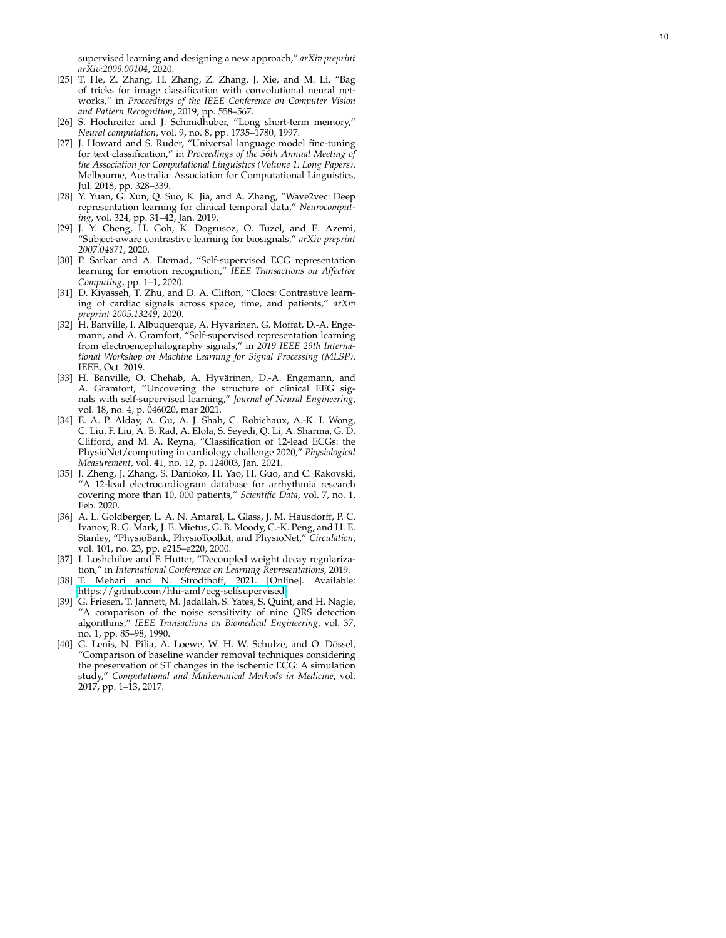supervised learning and designing a new approach," *arXiv preprint arXiv:2009.00104*, 2020.

- <span id="page-9-0"></span>[25] T. He, Z. Zhang, H. Zhang, Z. Zhang, J. Xie, and M. Li, "Bag of tricks for image classification with convolutional neural networks," in *Proceedings of the IEEE Conference on Computer Vision and Pattern Recognition*, 2019, pp. 558–567.
- <span id="page-9-1"></span>[26] S. Hochreiter and J. Schmidhuber, "Long short-term memory," *Neural computation*, vol. 9, no. 8, pp. 1735–1780, 1997.
- <span id="page-9-2"></span>[27] J. Howard and S. Ruder, "Universal language model fine-tuning for text classification," in *Proceedings of the 56th Annual Meeting of the Association for Computational Linguistics (Volume 1: Long Papers)* . Melbourne, Australia: Association for Computational Linguistics, Jul. 2018, pp. 328–339.
- <span id="page-9-3"></span>[28] Y. Yuan, G. Xun, Q. Suo, K. Jia, and A. Zhang, "Wave2vec: Deep representation learning for clinical temporal data," *Neurocomputing*, vol. 324, pp. 31–42, Jan. 2019.
- <span id="page-9-5"></span>[29] J. Y. Cheng, H. Goh, K. Dogrusoz, O. Tuzel, and E. Azemi, "Subject-aware contrastive learning for biosignals," *arXiv preprint 2007.04871*, 2020.
- <span id="page-9-8"></span>[30] P. Sarkar and A. Etemad, "Self-supervised ECG representation learning for emotion recognition," *IEEE Transactions on Affective Computing*, pp. 1–1, 2020.
- <span id="page-9-4"></span>[31] D. Kiyasseh, T. Zhu, and D. A. Clifton, "Clocs: Contrastive learning of cardiac signals across space, time, and patients," *arXiv preprint 2005.13249*, 2020.
- <span id="page-9-6"></span>[32] H. Banville, I. Albuquerque, A. Hyvarinen, G. Moffat, D.-A. Engemann, and A. Gramfort, "Self-supervised representation learning from electroencephalography signals," in *2019 IEEE 29th International Workshop on Machine Learning for Signal Processing (MLSP)*. IEEE, Oct. 2019.
- <span id="page-9-7"></span>[33] H. Banville, O. Chehab, A. Hyvärinen, D.-A. Engemann, and A. Gramfort, "Uncovering the structure of clinical EEG signals with self-supervised learning," *Journal of Neural Engineering*, vol. 18, no. 4, p. 046020, mar 2021.
- <span id="page-9-9"></span>[34] E. A. P. Alday, A. Gu, A. J. Shah, C. Robichaux, A.-K. I. Wong, C. Liu, F. Liu, A. B. Rad, A. Elola, S. Seyedi, Q. Li, A. Sharma, G. D. Clifford, and M. A. Reyna, "Classification of 12-lead ECGs: the PhysioNet/computing in cardiology challenge 2020," *Physiological Measurement*, vol. 41, no. 12, p. 124003, Jan. 2021.
- <span id="page-9-10"></span>[35] J. Zheng, J. Zhang, S. Danioko, H. Yao, H. Guo, and C. Rakovski, "A 12-lead electrocardiogram database for arrhythmia research covering more than 10, 000 patients," *Scientific Data*, vol. 7, no. 1, Feb. 2020.
- <span id="page-9-11"></span>[36] A. L. Goldberger, L. A. N. Amaral, L. Glass, J. M. Hausdorff, P. C. Ivanov, R. G. Mark, J. E. Mietus, G. B. Moody, C.-K. Peng, and H. E. Stanley, "PhysioBank, PhysioToolkit, and PhysioNet," *Circulation* , vol. 101, no. 23, pp. e215–e220, 2000.
- <span id="page-9-12"></span>[37] I. Loshchilov and F. Hutter, "Decoupled weight decay regularization," in *International Conference on Learning Representations*, 2019.
- <span id="page-9-13"></span>[38] T. Mehari and N. Strodthoff, 2021. [Online]. Available: <https://github.com/hhi-aml/ecg-selfsupervised>
- <span id="page-9-14"></span>[39] G. Friesen, T. Jannett, M. Jadallah, S. Yates, S. Quint, and H. Nagle, "A comparison of the noise sensitivity of nine QRS detection algorithms," *IEEE Transactions on Biomedical Engineering*, vol. 37, no. 1, pp. 85–98, 1990.
- <span id="page-9-15"></span>[40] G. Lenis, N. Pilia, A. Loewe, W. H. W. Schulze, and O. Dössel, "Comparison of baseline wander removal techniques considering the preservation of ST changes in the ischemic ECG: A simulation study," *Computational and Mathematical Methods in Medicine*, vol. 2017, pp. 1–13, 2017.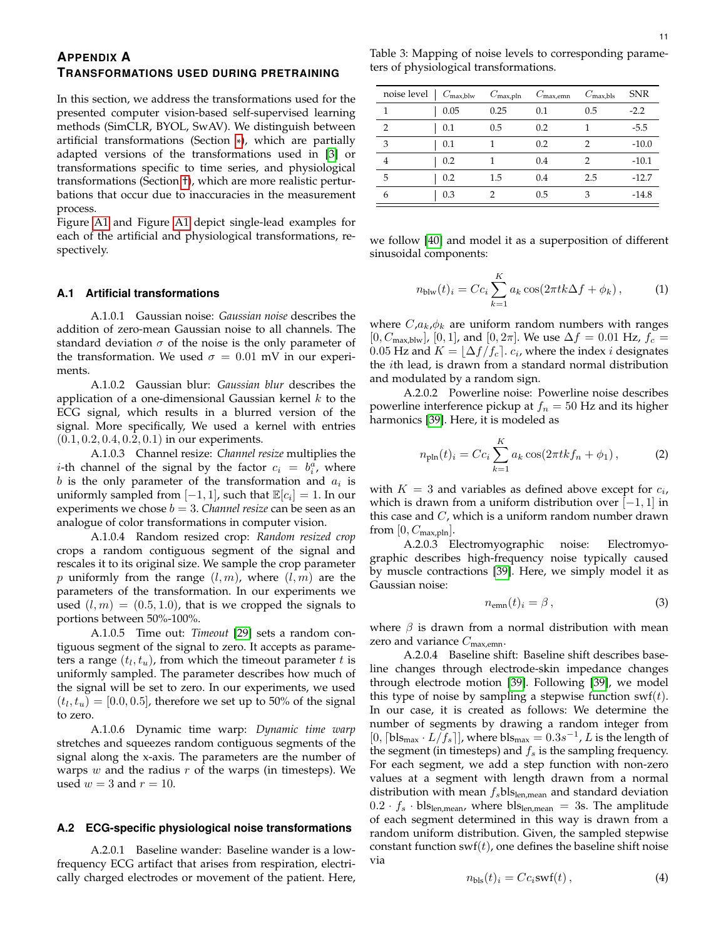# <span id="page-10-0"></span>**APPENDIX A**

# **TRANSFORMATIONS USED DURING PRETRAINING**

In this section, we address the transformations used for the presented computer vision-based self-supervised learning methods (SimCLR, BYOL, SwAV). We distinguish between artificial transformations (Section [\\*](#page-10-1) ), which are partially adapted versions of the transformations used in [\[3\]](#page-8-2) or transformations specific to time series, and physiological transformations (Section [†\)](#page-10-2), which are more realistic perturbations that occur due to inaccuracies in the measurement process.

Figure [A1](#page-11-0) and Figure [A1](#page-12-1) depict single-lead examples for each of the artificial and physiological transformations, respectively.

#### <span id="page-10-1"></span>**A.1 Artificial transformations**

A.1.0.1 Gaussian noise: *Gaussian noise* describes the addition of zero-mean Gaussian noise to all channels. The standard deviation  $\sigma$  of the noise is the only parameter of the transformation. We used  $\sigma = 0.01$  mV in our experiments.

A.1.0.2 Gaussian blur: *Gaussian blur* describes the application of a one-dimensional Gaussian kernel  $k$  to the ECG signal, which results in a blurred version of the signal. More specifically, We used a kernel with entries  $(0.1, 0.2, 0.4, 0.2, 0.1)$  in our experiments.

A.1.0.3 Channel resize: *Channel resize* multiplies the *i*-th channel of the signal by the factor  $c_i = b_i^a$ , where  $b$  is the only parameter of the transformation and  $a_i$  is uniformly sampled from  $[-1, 1]$ , such that  $\mathbb{E}[c_i] = 1$ . In our experiments we chose  $b = 3$ . *Channel resize* can be seen as an analogue of color transformations in computer vision.

A.1.0.4 Random resized crop: *Random resized crop* crops a random contiguous segment of the signal and rescales it to its original size. We sample the crop parameter p uniformly from the range  $(l, m)$ , where  $(l, m)$  are the parameters of the transformation. In our experiments we used  $(l, m) = (0.5, 1.0)$ , that is we cropped the signals to portions between 50%-100%.

A.1.0.5 Time out: *Timeout* [\[29\]](#page-9-5) sets a random contiguous segment of the signal to zero. It accepts as parameters a range  $(t_l,t_u)$ , from which the timeout parameter  $t$  is uniformly sampled. The parameter describes how much of the signal will be set to zero. In our experiments, we used  $(t_l, t_u) = [0.0, 0.5]$ , therefore we set up to 50% of the signal to zero.

A.1.0.6 Dynamic time warp: *Dynamic time warp* stretches and squeezes random contiguous segments of the signal along the x-axis. The parameters are the number of warps  $w$  and the radius  $r$  of the warps (in timesteps). We used  $w = 3$  and  $r = 10$ .

#### <span id="page-10-2"></span>**A.2 ECG-specific physiological noise transformations**

A.2.0.1 Baseline wander: Baseline wander is a lowfrequency ECG artifact that arises from respiration, electrically charged electrodes or movement of the patient. Here,

<span id="page-10-3"></span>Table 3: Mapping of noise levels to corresponding parameters of physiological transformations.

| noise level | $C_{\text{max,blw}}$ | $C_{\text{max,pln}}$ | $C_{\text{max,emm}}$ | $C_{\text{max,bls}}$ | <b>SNR</b> |
|-------------|----------------------|----------------------|----------------------|----------------------|------------|
| 1           | 0.05                 | 0.25                 | 0.1                  | 0.5                  | $-2.2$     |
| 2           | 0.1                  | 0.5                  | 0.2                  |                      | $-5.5$     |
| 3           | 0.1                  |                      | 0.2                  | 2                    | $-10.0$    |
| 4           | 0.2                  |                      | 0.4                  | 2                    | $-10.1$    |
| 5           | 0.2                  | 1.5                  | 0.4                  | 2.5                  | $-12.7$    |
| 6           | 0.3                  |                      | 0.5                  | 3                    | $-14.8$    |

we follow [\[40\]](#page-9-15) and model it as a superposition of different sinusoidal components:

$$
n_{\text{blw}}(t)_i = Cc_i \sum_{k=1}^{K} a_k \cos(2\pi tk \Delta f + \phi_k), \quad (1)
$$

where  $C, a_k, \phi_k$  are uniform random numbers with ranges  $[0, C_{\text{max,blw}}]$ ,  $[0, 1]$ , and  $[0, 2\pi]$ . We use  $\Delta f = 0.01$  Hz,  $f_c =$  $0.05 \textrm{ Hz}$  and  $K = \lfloor \Delta f / f_c \rceil$ .  $c_i$ , where the index  $i$  designates the ith lead, is drawn from a standard normal distribution and modulated by a random sign.

A.2.0.2 Powerline noise: Powerline noise describes powerline interference pickup at  $f_n = 50$  Hz and its higher harmonics [\[39\]](#page-9-14). Here, it is modeled as

$$
n_{\text{pln}}(t)_i = C c_i \sum_{k=1}^{K} a_k \cos(2\pi tk f_n + \phi_1), \tag{2}
$$

with  $K = 3$  and variables as defined above except for  $c_i$ , which is drawn from a uniform distribution over  $[-1, 1]$  in this case and  $C$ , which is a uniform random number drawn from  $[0, C_{\text{max,pln}}]$ .

A.2.0.3 Electromyographic noise: Electromyographic describes high-frequency noise typically caused by muscle contractions [\[39\]](#page-9-14). Here, we simply model it as Gaussian noise:

$$
n_{\rm emn}(t)_i = \beta \,, \tag{3}
$$

where  $\beta$  is drawn from a normal distribution with mean zero and variance  $C_{\text{max,emm}}$ .

A.2.0.4 Baseline shift: Baseline shift describes baseline changes through electrode-skin impedance changes through electrode motion [\[39\]](#page-9-14). Following [\[39\]](#page-9-14), we model this type of noise by sampling a stepwise function  $\text{swf}(t)$ . In our case, it is created as follows: We determine the number of segments by drawing a random integer from [0,  $\lceil \text{bls}_{\text{max}} \cdot L / f_s \rceil$ ], where  $\text{bls}_{\text{max}} = 0.3s^{-1}$ , L is the length of the segment (in timesteps) and  $f_s$  is the sampling frequency. For each segment, we add a step function with non-zero values at a segment with length drawn from a normal distribution with mean  $f_s$ bls<sub>len,mean</sub> and standard deviation  $0.2 \cdot f_s \cdot \text{bls}_{\text{len,mean}}$ , where  $\text{bls}_{\text{len,mean}} = 3$ s. The amplitude of each segment determined in this way is drawn from a random uniform distribution. Given, the sampled stepwise constant function  $\text{swf}(t)$ , one defines the baseline shift noise via

$$
n_{\text{bls}}(t)_i = Cc_i \text{swf}(t) , \qquad (4)
$$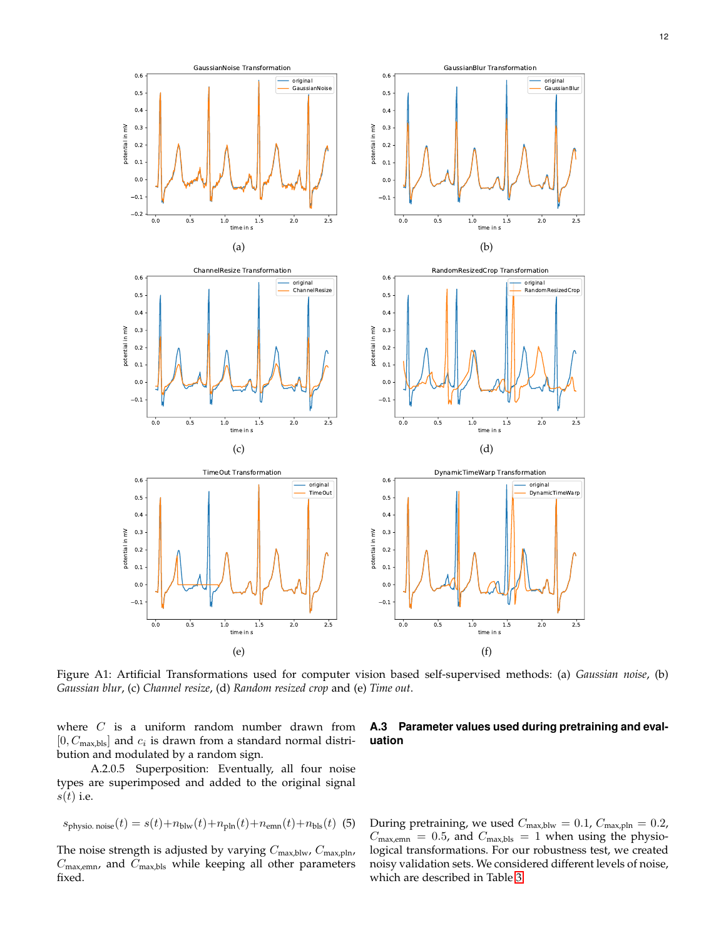<span id="page-11-0"></span>

Figure A1: Artificial Transformations used for computer vision based self-supervised methods: (a) *Gaussian noise*, (b) *Gaussian blur*, (c) *Channel resize*, (d) *Random resized crop* and (e) *Time out*.

where  $C$  is a uniform random number drawn from  $[0, C_{\text{max,bls}}]$  and  $c_i$  is drawn from a standard normal distribution and modulated by a random sign.

A.2.0.5 Superposition: Eventually, all four noise types are superimposed and added to the original signal  $s(t)$  i.e.

$$
s_{\text{physio. noise}}(t) = s(t) + n_{\text{blw}}(t) + n_{\text{pln}}(t) + n_{\text{emm}}(t) + n_{\text{bls}}(t) \tag{5}
$$

The noise strength is adjusted by varying  $C_{\text{max,blw}}$ ,  $C_{\text{max,pln}}$ ,  $C_{\text{max,emm}}$ , and  $C_{\text{max,bls}}$  while keeping all other parameters fixed.

# **A.3 Parameter values used during pretraining and evaluation**

During pretraining, we used  $C_{\text{max,blw}} = 0.1$ ,  $C_{\text{max,pln}} = 0.2$ ,  $C_{\text{max,enn}} = 0.5$ , and  $C_{\text{max,bls}} = 1$  when using the physiological transformations. For our robustness test, we created noisy validation sets. We considered different levels of noise, which are described in Table [3.](#page-10-3)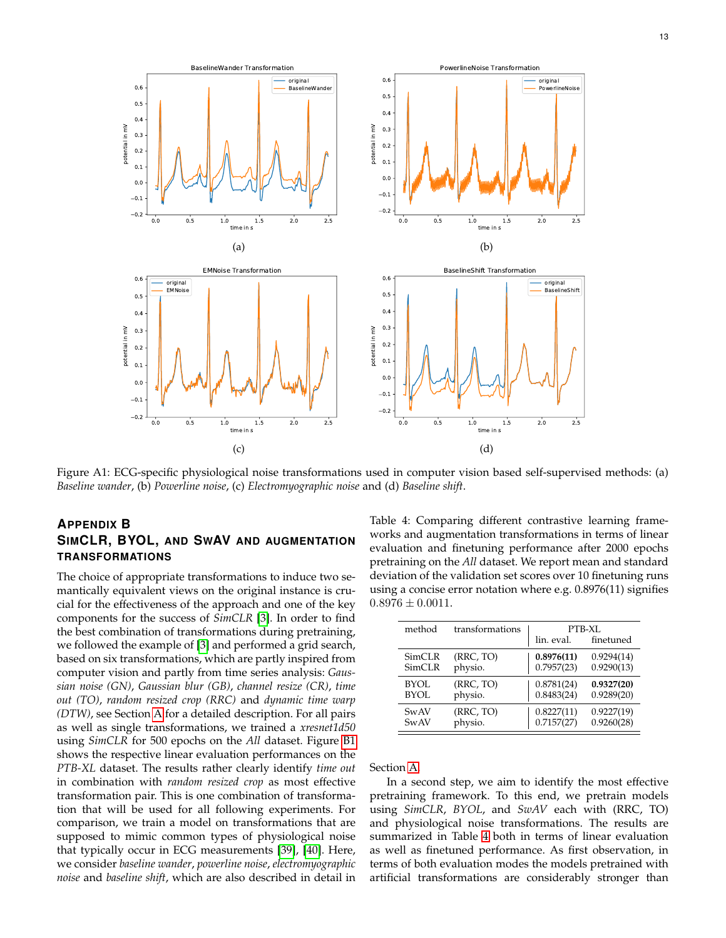<span id="page-12-1"></span>

Figure A1: ECG-specific physiological noise transformations used in computer vision based self-supervised methods: (a) *Baseline wander*, (b) *Powerline noise*, (c) *Electromyographic noise* and (d) *Baseline shift*.

# <span id="page-12-0"></span>**APPENDIX B SIMCLR, BYOL, AND SWAV AND AUGMENTATION TRANSFORMATIONS**

The choice of appropriate transformations to induce two semantically equivalent views on the original instance is crucial for the effectiveness of the approach and one of the key components for the success of *SimCLR* [\[3\]](#page-8-2). In order to find the best combination of transformations during pretraining, we followed the example of [\[3\]](#page-8-2) and performed a grid search, based on six transformations, which are partly inspired from computer vision and partly from time series analysis: *Gaussian noise (GN)*, *Gaussian blur (GB)*, *channel resize (CR)*, *time out (TO)*, *random resized crop (RRC)* and *dynamic time warp (DTW)*, see Section [A](#page-10-0) for a detailed description. For all pairs as well as single transformations, we trained a *xresnet1d50* using *SimCLR* for 500 epochs on the *All* dataset. Figure [B1](#page-13-1) shows the respective linear evaluation performances on the *PTB-XL* dataset. The results rather clearly identify *time out* in combination with *random resized crop* as most effective transformation pair. This is one combination of transformation that will be used for all following experiments. For comparison, we train a model on transformations that are supposed to mimic common types of physiological noise that typically occur in ECG measurements [\[39\]](#page-9-14), [\[40\]](#page-9-15). Here, we consider *baseline wander*, *powerline noise*, *electromyographic noise* and *baseline shift*, which are also described in detail in <span id="page-12-2"></span>Table 4: Comparing different contrastive learning frameworks and augmentation transformations in terms of linear evaluation and finetuning performance after 2000 epochs pretraining on the *All* dataset. We report mean and standard deviation of the validation set scores over 10 finetuning runs using a concise error notation where e.g. 0.8976(11) signifies  $0.8976 \pm 0.0011$ .

| method      | transformations | lin. eval. | PTB-XL<br>finetuned |
|-------------|-----------------|------------|---------------------|
| SimCLR      | (RRC, TO)       | 0.8976(11) | 0.9294(14)          |
| SimCLR      | physio.         | 0.7957(23) | 0.9290(13)          |
| <b>BYOL</b> | (RRC, TO)       | 0.8781(24) | 0.9327(20)          |
| <b>BYOL</b> | physio.         | 0.8483(24) | 0.9289(20)          |
| SwAV        | (RRC, TO)       | 0.8227(11) | 0.9227(19)          |
| <b>SwAV</b> | physio.         | 0.7157(27) | 0.9260(28)          |

Section [A.](#page-10-0)

In a second step, we aim to identify the most effective pretraining framework. To this end, we pretrain models using *SimCLR*, *BYOL*, and *SwAV* each with (RRC, TO) and physiological noise transformations. The results are summarized in Table [4](#page-12-2) both in terms of linear evaluation as well as finetuned performance. As first observation, in terms of both evaluation modes the models pretrained with artificial transformations are considerably stronger than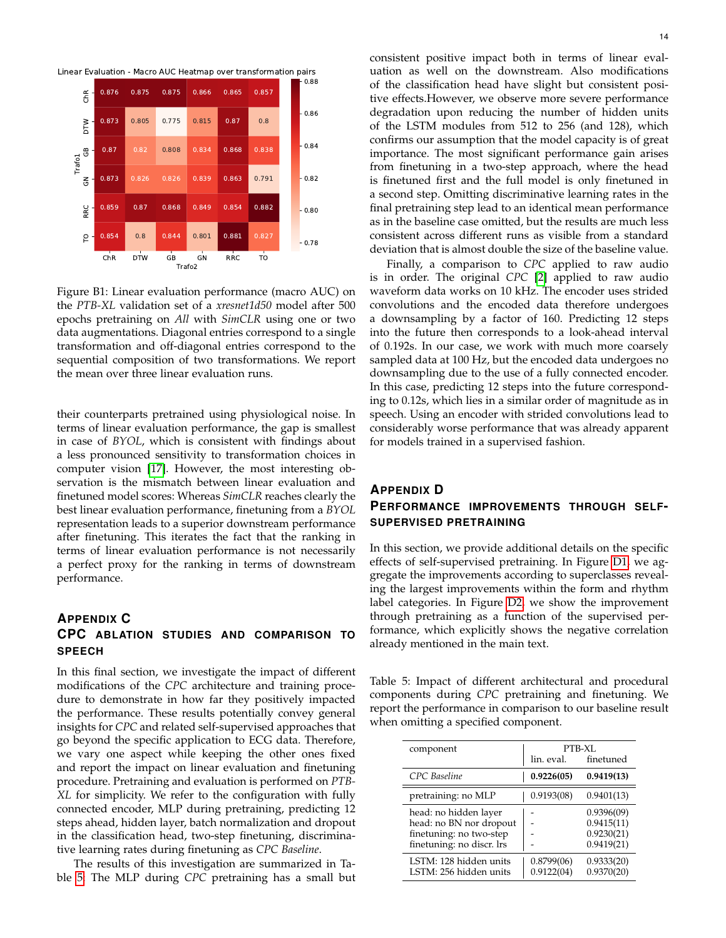<span id="page-13-1"></span>



Figure B1: Linear evaluation performance (macro AUC) on the *PTB-XL* validation set of a *xresnet1d50* model after 500 epochs pretraining on *All* with *SimCLR* using one or two data augmentations. Diagonal entries correspond to a single transformation and off-diagonal entries correspond to the sequential composition of two transformations. We report the mean over three linear evaluation runs.

their counterparts pretrained using physiological noise. In terms of linear evaluation performance, the gap is smallest in case of *BYOL*, which is consistent with findings about a less pronounced sensitivity to transformation choices in computer vision [\[17\]](#page-8-20). However, the most interesting observation is the mismatch between linear evaluation and finetuned model scores: Whereas *SimCLR* reaches clearly the best linear evaluation performance, finetuning from a *BYOL* representation leads to a superior downstream performance after finetuning. This iterates the fact that the ranking in terms of linear evaluation performance is not necessarily a perfect proxy for the ranking in terms of downstream performance.

# <span id="page-13-0"></span>**APPENDIX C CPC ABLATION STUDIES AND COMPARISON TO SPEECH**

In this final section, we investigate the impact of different modifications of the *CPC* architecture and training procedure to demonstrate in how far they positively impacted the performance. These results potentially convey general insights for *CPC* and related self-supervised approaches that go beyond the specific application to ECG data. Therefore, we vary one aspect while keeping the other ones fixed and report the impact on linear evaluation and finetuning procedure. Pretraining and evaluation is performed on *PTB-XL* for simplicity. We refer to the configuration with fully connected encoder, MLP during pretraining, predicting 12 steps ahead, hidden layer, batch normalization and dropout in the classification head, two-step finetuning, discriminative learning rates during finetuning as *CPC Baseline*.

The results of this investigation are summarized in Table [5:](#page-13-2) The MLP during *CPC* pretraining has a small but consistent positive impact both in terms of linear evaluation as well on the downstream. Also modifications of the classification head have slight but consistent positive effects.However, we observe more severe performance degradation upon reducing the number of hidden units of the LSTM modules from 512 to 256 (and 128), which confirms our assumption that the model capacity is of great importance. The most significant performance gain arises from finetuning in a two-step approach, where the head is finetuned first and the full model is only finetuned in a second step. Omitting discriminative learning rates in the final pretraining step lead to an identical mean performance as in the baseline case omitted, but the results are much less consistent across different runs as visible from a standard deviation that is almost double the size of the baseline value.

Finally, a comparison to *CPC* applied to raw audio is in order. The original *CPC* [\[2\]](#page-8-1) applied to raw audio waveform data works on 10 kHz. The encoder uses strided convolutions and the encoded data therefore undergoes a downsampling by a factor of 160. Predicting 12 steps into the future then corresponds to a look-ahead interval of 0.192s. In our case, we work with much more coarsely sampled data at 100 Hz, but the encoded data undergoes no downsampling due to the use of a fully connected encoder. In this case, predicting 12 steps into the future corresponding to 0.12s, which lies in a similar order of magnitude as in speech. Using an encoder with strided convolutions lead to considerably worse performance that was already apparent for models trained in a supervised fashion.

# **APPENDIX D PERFORMANCE IMPROVEMENTS THROUGH SELF-SUPERVISED PRETRAINING**

In this section, we provide additional details on the specific effects of self-supervised pretraining. In Figure [D1,](#page-14-1) we aggregate the improvements according to superclasses revealing the largest improvements within the form and rhythm label categories. In Figure [D2,](#page-14-2) we show the improvement through pretraining as a function of the supervised performance, which explicitly shows the negative correlation already mentioned in the main text.

<span id="page-13-2"></span>Table 5: Impact of different architectural and procedural components during *CPC* pretraining and finetuning. We report the performance in comparison to our baseline result when omitting a specified component.

| component                 | PTB-XL     |            |
|---------------------------|------------|------------|
|                           | lin. eval. | finetuned  |
| CPC Baseline              | 0.9226(05) | 0.9419(13) |
| pretraining: no MLP       | 0.9193(08) | 0.9401(13) |
| head: no hidden layer     |            | 0.9396(09) |
| head: no BN nor dropout   |            | 0.9415(11) |
| finetuning: no two-step   |            | 0.9230(21) |
| finetuning: no discr. lrs |            | 0.9419(21) |
| LSTM: 128 hidden units    | 0.8799(06) | 0.9333(20) |
| LSTM: 256 hidden units    | 0.9122(04) | 0.9370(20) |